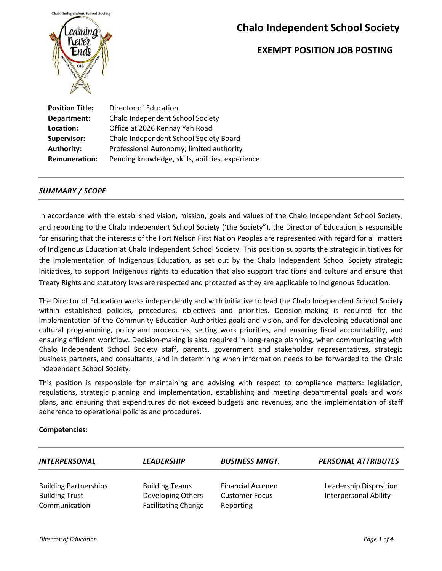

### **EXEMPT POSITION JOB POSTING**

**Position Title:** Director of Education **Department:** Chalo Independent School Society Location: **Office at 2026 Kennay Yah Road Supervisor:** Chalo Independent School Society Board Authority: **Professional Autonomy; limited authority Remuneration:** Pending knowledge, skills, abilities, experience

#### *SUMMARY / SCOPE*

In accordance with the established vision, mission, goals and values of the Chalo Independent School Society, and reporting to the Chalo Independent School Society ('the Society"), the Director of Education is responsible for ensuring that the interests of the Fort Nelson First Nation Peoples are represented with regard for all matters of Indigenous Education at Chalo Independent School Society. This position supports the strategic initiatives for the implementation of Indigenous Education, as set out by the Chalo Independent School Society strategic initiatives, to support Indigenous rights to education that also support traditions and culture and ensure that Treaty Rights and statutory laws are respected and protected as they are applicable to Indigenous Education.

The Director of Education works independently and with initiative to lead the Chalo Independent School Society within established policies, procedures, objectives and priorities. Decision-making is required for the implementation of the Community Education Authorities goals and vision, and for developing educational and cultural programming, policy and procedures, setting work priorities, and ensuring fiscal accountability, and ensuring efficient workflow. Decision-making is also required in long-range planning, when communicating with Chalo Independent School Society staff, parents, government and stakeholder representatives, strategic business partners, and consultants, and in determining when information needs to be forwarded to the Chalo Independent School Society.

This position is responsible for maintaining and advising with respect to compliance matters: legislation, regulations, strategic planning and implementation, establishing and meeting departmental goals and work plans, and ensuring that expenditures do not exceed budgets and revenues, and the implementation of staff adherence to operational policies and procedures.

#### **Competencies:**

| <b>INTERPERSONAL</b>                                                   | <b>LEADERSHIP</b>                                                        | <b>BUSINESS MNGT.</b>                                         | <b>PERSONAL ATTRIBUTES</b>                             |
|------------------------------------------------------------------------|--------------------------------------------------------------------------|---------------------------------------------------------------|--------------------------------------------------------|
| <b>Building Partnerships</b><br><b>Building Trust</b><br>Communication | <b>Building Teams</b><br>Developing Others<br><b>Facilitating Change</b> | <b>Financial Acumen</b><br><b>Customer Focus</b><br>Reporting | Leadership Disposition<br><b>Interpersonal Ability</b> |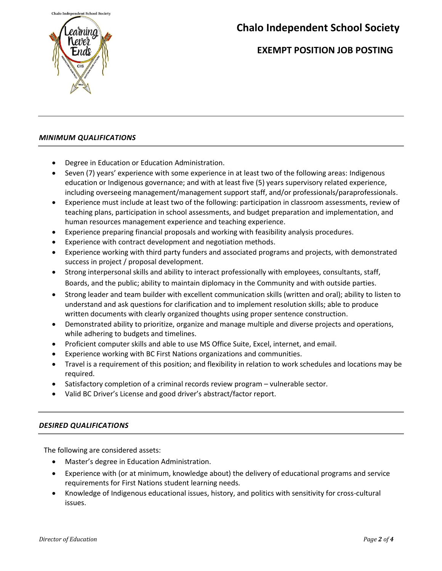

## **EXEMPT POSITION JOB POSTING**

#### *MINIMUM QUALIFICATIONS*

- Degree in Education or Education Administration.
- Seven (7) years' experience with some experience in at least two of the following areas: Indigenous education or Indigenous governance; and with at least five (5) years supervisory related experience, including overseeing management/management support staff, and/or professionals/paraprofessionals.
- Experience must include at least two of the following: participation in classroom assessments, review of teaching plans, participation in school assessments, and budget preparation and implementation, and human resources management experience and teaching experience.
- Experience preparing financial proposals and working with feasibility analysis procedures.
- Experience with contract development and negotiation methods.
- Experience working with third party funders and associated programs and projects, with demonstrated success in project / proposal development.
- Strong interpersonal skills and ability to interact professionally with employees, consultants, staff, Boards, and the public; ability to maintain diplomacy in the Community and with outside parties.
- Strong leader and team builder with excellent communication skills (written and oral); ability to listen to understand and ask questions for clarification and to implement resolution skills; able to produce written documents with clearly organized thoughts using proper sentence construction.
- Demonstrated ability to prioritize, organize and manage multiple and diverse projects and operations, while adhering to budgets and timelines.
- Proficient computer skills and able to use MS Office Suite, Excel, internet, and email.
- Experience working with BC First Nations organizations and communities.
- Travel is a requirement of this position; and flexibility in relation to work schedules and locations may be required.
- Satisfactory completion of a criminal records review program vulnerable sector.
- Valid BC Driver's License and good driver's abstract/factor report.

#### *DESIRED QUALIFICATIONS*

The following are considered assets:

- Master's degree in Education Administration.
- Experience with (or at minimum, knowledge about) the delivery of educational programs and service requirements for First Nations student learning needs.
- Knowledge of Indigenous educational issues, history, and politics with sensitivity for cross-cultural issues.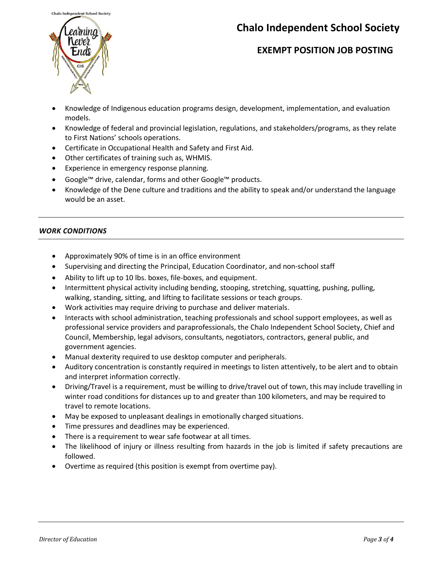

### **EXEMPT POSITION JOB POSTING**

- Knowledge of Indigenous education programs design, development, implementation, and evaluation models.
- Knowledge of federal and provincial legislation, regulations, and stakeholders/programs, as they relate to First Nations' schools operations.
- Certificate in Occupational Health and Safety and First Aid.
- Other certificates of training such as, WHMIS.
- Experience in emergency response planning.
- Google™ drive, calendar, forms and other Google™ products.
- Knowledge of the Dene culture and traditions and the ability to speak and/or understand the language would be an asset.

#### *WORK CONDITIONS*

- Approximately 90% of time is in an office environment
- Supervising and directing the Principal, Education Coordinator, and non-school staff
- Ability to lift up to 10 lbs. boxes, file-boxes, and equipment.
- Intermittent physical activity including bending, stooping, stretching, squatting, pushing, pulling, walking, standing, sitting, and lifting to facilitate sessions or teach groups.
- Work activities may require driving to purchase and deliver materials.
- Interacts with school administration, teaching professionals and school support employees, as well as professional service providers and paraprofessionals, the Chalo Independent School Society, Chief and Council, Membership, legal advisors, consultants, negotiators, contractors, general public, and government agencies.
- Manual dexterity required to use desktop computer and peripherals.
- Auditory concentration is constantly required in meetings to listen attentively, to be alert and to obtain and interpret information correctly.
- Driving/Travel is a requirement, must be willing to drive/travel out of town, this may include travelling in winter road conditions for distances up to and greater than 100 kilometers, and may be required to travel to remote locations.
- May be exposed to unpleasant dealings in emotionally charged situations.
- Time pressures and deadlines may be experienced.
- There is a requirement to wear safe footwear at all times.
- The likelihood of injury or illness resulting from hazards in the job is limited if safety precautions are followed.
- Overtime as required (this position is exempt from overtime pay).